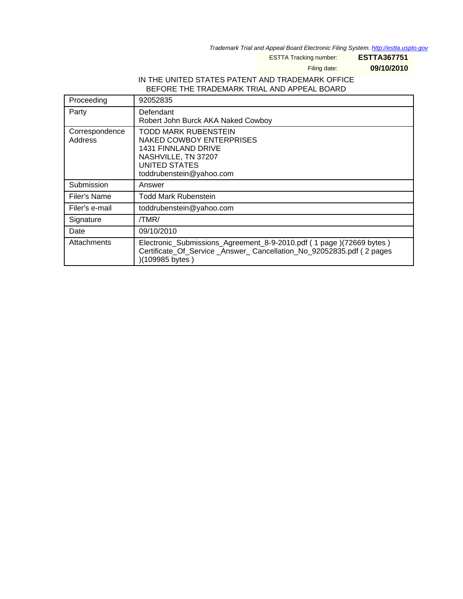Trademark Trial and Appeal Board Electronic Filing System. <http://estta.uspto.gov>

ESTTA Tracking number: **ESTTA367751**

Filing date: **09/10/2010**

## IN THE UNITED STATES PATENT AND TRADEMARK OFFICE BEFORE THE TRADEMARK TRIAL AND APPEAL BOARD

| Proceeding                | 92052835                                                                                                                                                         |
|---------------------------|------------------------------------------------------------------------------------------------------------------------------------------------------------------|
| Party                     | Defendant<br>Robert John Burck AKA Naked Cowboy                                                                                                                  |
| Correspondence<br>Address | TODD MARK RUBENSTEIN<br><b>NAKED COWBOY ENTERPRISES</b><br><b>1431 FINNLAND DRIVE</b><br>NASHVILLE, TN 37207<br><b>UNITED STATES</b><br>toddrubenstein@yahoo.com |
| Submission                | Answer                                                                                                                                                           |
| Filer's Name              | Todd Mark Rubenstein                                                                                                                                             |
| Filer's e-mail            | toddrubenstein@yahoo.com                                                                                                                                         |
| Signature                 | /TMR/                                                                                                                                                            |
| Date                      | 09/10/2010                                                                                                                                                       |
| Attachments               | Electronic_Submissions_Agreement_8-9-2010.pdf (1 page)(72669 bytes)<br>Certificate_Of_Service_Answer_Cancellation_No_92052835.pdf (2 pages<br>)(109985 bytes)    |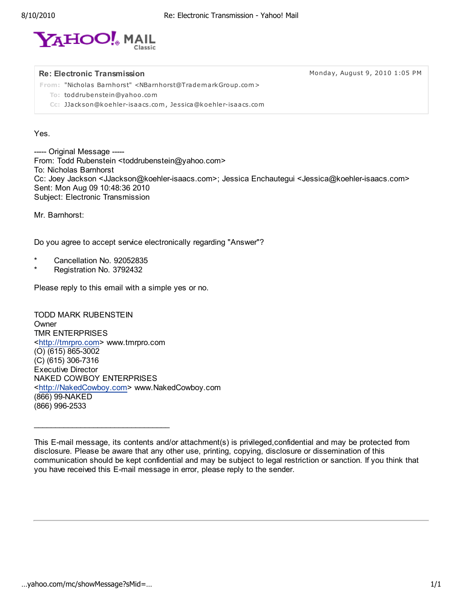

Re: Electronic Transmission **Monday, August 9, 2010 1:05 PM** 

From: "Nicholas Barnhorst" <NBarnhorst@TrademarkGroup.com>

To: toddrubenstein@yahoo .com

Cc: JJackson@koehler-isaacs.com, Jessica@koehler-isaacs.com

## Yes.

----- Original Message ----- From: Todd Rubenstein <toddrubenstein@yahoo.com> To: Nicholas Barnhorst Cc: Joey Jackson <JJackson@koehler-isaacs.com>; Jessica Enchautegui <Jessica@koehler-isaacs.com> Sent: Mon Aug 09 10:48:36 2010 Subject: Electronic Transmission

Mr. Barnhorst:

Do you agree to accept service electronically regarding "Answer"?

- \* Cancellation No. 92052835
- Registration No. 3792432

Please reply to this email with a simple yes or no.

TODD MARK RUBENSTEIN **Owner** TMR ENTERPRISES <http://tmrpro.com> www.tmrpro.com (O) (615) 865-3002 (C) (615) 306-7316 Executive Director NAKED COWBOY ENTERPRISES <http://NakedCowboy.com> www.NakedCowboy.com (866) 99-NAKED (866) 996-2533

\_\_\_\_\_\_\_\_\_\_\_\_\_\_\_\_\_\_\_\_\_\_\_\_\_\_\_\_\_\_\_\_

This E-mail message, its contents and/or attachment(s) is privileged,confidential and may be protected from disclosure. Please be aware that any other use, printing, copying, disclosure or dissemination of this communication should be kept confidential and may be subject to legal restriction or sanction. If you think that you have received this E-mail message in error, please reply to the sender.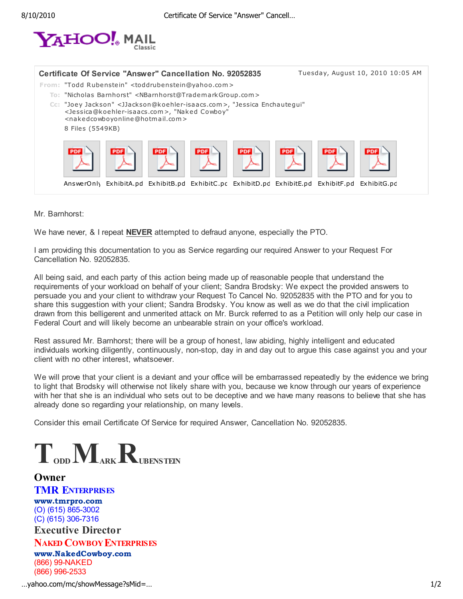

| Certificate Of Service "Answer" Cancellation No. 92052835                            |                                                                                                                                                                                                                                                                                  |                          | Tuesday, August 10, 2010 10:05 AM |  |
|--------------------------------------------------------------------------------------|----------------------------------------------------------------------------------------------------------------------------------------------------------------------------------------------------------------------------------------------------------------------------------|--------------------------|-----------------------------------|--|
| From: "Todd Rubenstein" <toddrubenstein@yahoo.com></toddrubenstein@yahoo.com>        | To: "Nicholas Barnhorst" <nbarnhorst@trademarkgroup.com><br/>Cc: "Joey Jackson" <jjackson@koehler-isaacs.com>, "Jessica Enchautegui"<br/><jessica@koehler-isaacs.com>, "Naked Cowboy"</jessica@koehler-isaacs.com></jjackson@koehler-isaacs.com></nbarnhorst@trademarkgroup.com> |                          |                                   |  |
| <nakedcowboyonline@hotmail.com><br/>8 Files (5549KB)</nakedcowboyonline@hotmail.com> |                                                                                                                                                                                                                                                                                  |                          |                                   |  |
| <b>PDF</b>                                                                           | PDF<br>PDF                                                                                                                                                                                                                                                                       | <b>PDF</b><br><b>PDF</b> | PDF                               |  |
|                                                                                      | AnswerOnly ExhibitA.pd ExhibitB.pd ExhibitC.pc ExhibitD.pc ExhibitE.pd ExhibitF.pd ExhibitG.pc                                                                                                                                                                                   |                          |                                   |  |

Mr. Barnhorst:

We have never, & I repeat NEVER attempted to defraud anyone, especially the PTO.

I am providing this documentation to you as Service regarding our required Answer to your Request For Cancellation No. 92052835.

All being said, and each party of this action being made up of reasonable people that understand the requirements of your workload on behalf of your client; Sandra Brodsky: We expect the provided answers to persuade you and your client to withdraw your Request To Cancel No. 92052835 with the PTO and for you to share this suggestion with your client; Sandra Brodsky. You know as well as we do that the civil implication drawn from this belligerent and unmerited attack on Mr. Burck referred to as a Petition will only help our case in Federal Court and will likely become an unbearable strain on your office's workload.

Rest assured Mr. Barnhorst; there will be a group of honest, law abiding, highly intelligent and educated individuals working diligently, continuously, non-stop, day in and day out to argue this case against you and your client with no other interest, whatsoever.

We will prove that your client is a deviant and your office will be embarrassed repeatedly by the evidence we bring to light that Brodsky will otherwise not likely share with you, because we know through our years of experience with her that she is an individual who sets out to be deceptive and we have many reasons to believe that she has already done so regarding your relationship, on many levels.

Consider this email Certificate Of Service for required Answer, Cancellation No. 92052835.

 $T_{\text{\tiny{ODD}}}M_{\text{\tiny{ARK}}}R_{\text{\tiny{UBENSTEN}}}$ 

**Owner TMR ENTERPRISES** www.tmrpro.com (O) (615) 865-3002 (C) (615) 306-7316 Executive Director

NAKED COWBOY ENTERPRISES www.NakedCowboy.com (866) 99-NAKED (866) 996-2533

…yahoo.com/mc/showMessage?sMid=… 1/2